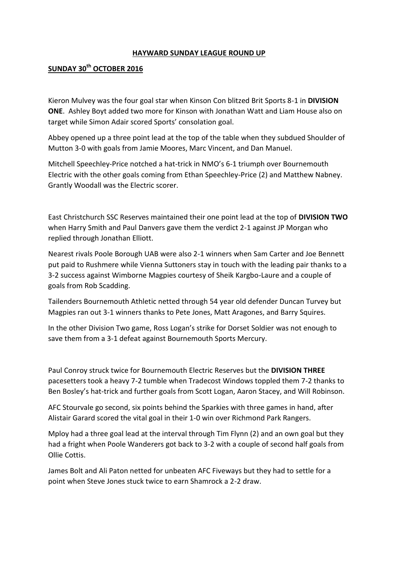## **HAYWARD SUNDAY LEAGUE ROUND UP**

## **SUNDAY 30th OCTOBER 2016**

Kieron Mulvey was the four goal star when Kinson Con blitzed Brit Sports 8-1 in **DIVISION ONE**. Ashley Boyt added two more for Kinson with Jonathan Watt and Liam House also on target while Simon Adair scored Sports' consolation goal.

Abbey opened up a three point lead at the top of the table when they subdued Shoulder of Mutton 3-0 with goals from Jamie Moores, Marc Vincent, and Dan Manuel.

Mitchell Speechley-Price notched a hat-trick in NMO's 6-1 triumph over Bournemouth Electric with the other goals coming from Ethan Speechley-Price (2) and Matthew Nabney. Grantly Woodall was the Electric scorer.

East Christchurch SSC Reserves maintained their one point lead at the top of **DIVISION TWO** when Harry Smith and Paul Danvers gave them the verdict 2-1 against JP Morgan who replied through Jonathan Elliott.

Nearest rivals Poole Borough UAB were also 2-1 winners when Sam Carter and Joe Bennett put paid to Rushmere while Vienna Suttoners stay in touch with the leading pair thanks to a 3-2 success against Wimborne Magpies courtesy of Sheik Kargbo-Laure and a couple of goals from Rob Scadding.

Tailenders Bournemouth Athletic netted through 54 year old defender Duncan Turvey but Magpies ran out 3-1 winners thanks to Pete Jones, Matt Aragones, and Barry Squires.

In the other Division Two game, Ross Logan's strike for Dorset Soldier was not enough to save them from a 3-1 defeat against Bournemouth Sports Mercury.

Paul Conroy struck twice for Bournemouth Electric Reserves but the **DIVISION THREE** pacesetters took a heavy 7-2 tumble when Tradecost Windows toppled them 7-2 thanks to Ben Bosley's hat-trick and further goals from Scott Logan, Aaron Stacey, and Will Robinson.

AFC Stourvale go second, six points behind the Sparkies with three games in hand, after Alistair Garard scored the vital goal in their 1-0 win over Richmond Park Rangers.

Mploy had a three goal lead at the interval through Tim Flynn (2) and an own goal but they had a fright when Poole Wanderers got back to 3-2 with a couple of second half goals from Ollie Cottis.

James Bolt and Ali Paton netted for unbeaten AFC Fiveways but they had to settle for a point when Steve Jones stuck twice to earn Shamrock a 2-2 draw.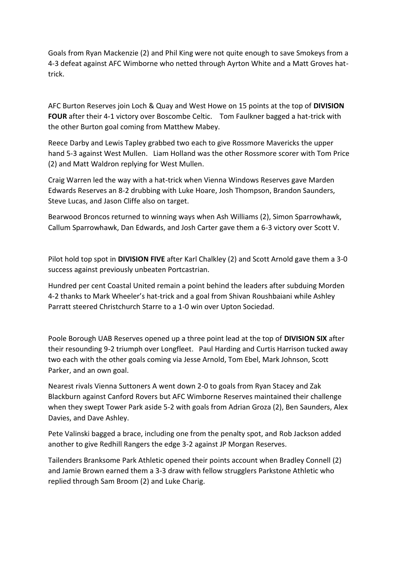Goals from Ryan Mackenzie (2) and Phil King were not quite enough to save Smokeys from a 4-3 defeat against AFC Wimborne who netted through Ayrton White and a Matt Groves hattrick.

AFC Burton Reserves join Loch & Quay and West Howe on 15 points at the top of **DIVISION FOUR** after their 4-1 victory over Boscombe Celtic. Tom Faulkner bagged a hat-trick with the other Burton goal coming from Matthew Mabey.

Reece Darby and Lewis Tapley grabbed two each to give Rossmore Mavericks the upper hand 5-3 against West Mullen. Liam Holland was the other Rossmore scorer with Tom Price (2) and Matt Waldron replying for West Mullen.

Craig Warren led the way with a hat-trick when Vienna Windows Reserves gave Marden Edwards Reserves an 8-2 drubbing with Luke Hoare, Josh Thompson, Brandon Saunders, Steve Lucas, and Jason Cliffe also on target.

Bearwood Broncos returned to winning ways when Ash Williams (2), Simon Sparrowhawk, Callum Sparrowhawk, Dan Edwards, and Josh Carter gave them a 6-3 victory over Scott V.

Pilot hold top spot in **DIVISION FIVE** after Karl Chalkley (2) and Scott Arnold gave them a 3-0 success against previously unbeaten Portcastrian.

Hundred per cent Coastal United remain a point behind the leaders after subduing Morden 4-2 thanks to Mark Wheeler's hat-trick and a goal from Shivan Roushbaiani while Ashley Parratt steered Christchurch Starre to a 1-0 win over Upton Sociedad.

Poole Borough UAB Reserves opened up a three point lead at the top of **DIVISION SIX** after their resounding 9-2 triumph over Longfleet. Paul Harding and Curtis Harrison tucked away two each with the other goals coming via Jesse Arnold, Tom Ebel, Mark Johnson, Scott Parker, and an own goal.

Nearest rivals Vienna Suttoners A went down 2-0 to goals from Ryan Stacey and Zak Blackburn against Canford Rovers but AFC Wimborne Reserves maintained their challenge when they swept Tower Park aside 5-2 with goals from Adrian Groza (2), Ben Saunders, Alex Davies, and Dave Ashley.

Pete Valinski bagged a brace, including one from the penalty spot, and Rob Jackson added another to give Redhill Rangers the edge 3-2 against JP Morgan Reserves.

Tailenders Branksome Park Athletic opened their points account when Bradley Connell (2) and Jamie Brown earned them a 3-3 draw with fellow strugglers Parkstone Athletic who replied through Sam Broom (2) and Luke Charig.